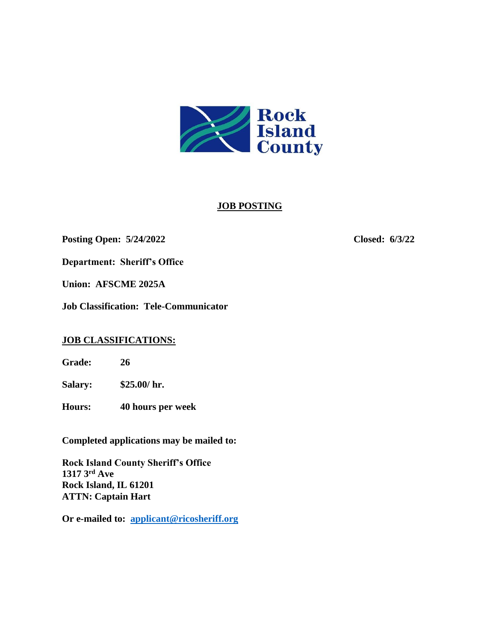

# **JOB POSTING**

### **Posting Open: 5/24/2022 Closed: 6/3/22**

**Department: Sheriff's Office** 

**Union: AFSCME 2025A**

**Job Classification: Tele-Communicator**

# **JOB CLASSIFICATIONS:**

**Grade: 26**

**Salary: \$25.00/ hr.**

**Hours: 40 hours per week**

**Completed applications may be mailed to:**

**Rock Island County Sheriff's Office 1317 3rd Ave Rock Island, IL 61201 ATTN: Captain Hart**

**Or e-mailed to: [applicant@ricosheriff.org](mailto:applicant@ricosheriff.org)**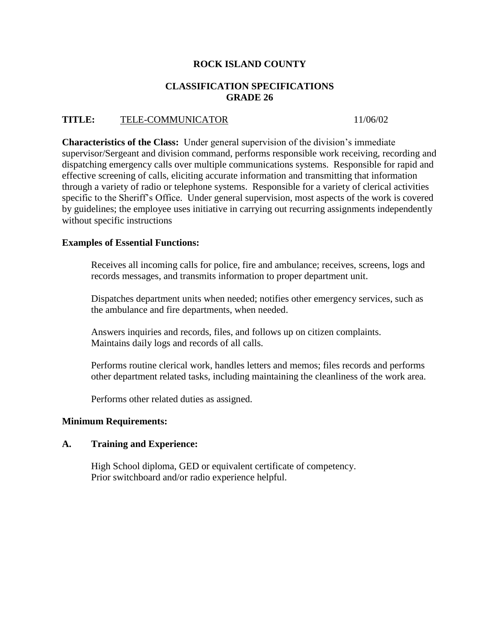# **ROCK ISLAND COUNTY**

### **CLASSIFICATION SPECIFICATIONS GRADE 26**

# **TITLE:** TELE-COMMUNICATOR 11/06/02

**Characteristics of the Class:** Under general supervision of the division's immediate supervisor/Sergeant and division command, performs responsible work receiving, recording and dispatching emergency calls over multiple communications systems. Responsible for rapid and effective screening of calls, eliciting accurate information and transmitting that information through a variety of radio or telephone systems. Responsible for a variety of clerical activities specific to the Sheriff's Office. Under general supervision, most aspects of the work is covered by guidelines; the employee uses initiative in carrying out recurring assignments independently without specific instructions

### **Examples of Essential Functions:**

Receives all incoming calls for police, fire and ambulance; receives, screens, logs and records messages, and transmits information to proper department unit.

Dispatches department units when needed; notifies other emergency services, such as the ambulance and fire departments, when needed.

Answers inquiries and records, files, and follows up on citizen complaints. Maintains daily logs and records of all calls.

Performs routine clerical work, handles letters and memos; files records and performs other department related tasks, including maintaining the cleanliness of the work area.

Performs other related duties as assigned.

#### **Minimum Requirements:**

#### **A. Training and Experience:**

High School diploma, GED or equivalent certificate of competency. Prior switchboard and/or radio experience helpful.